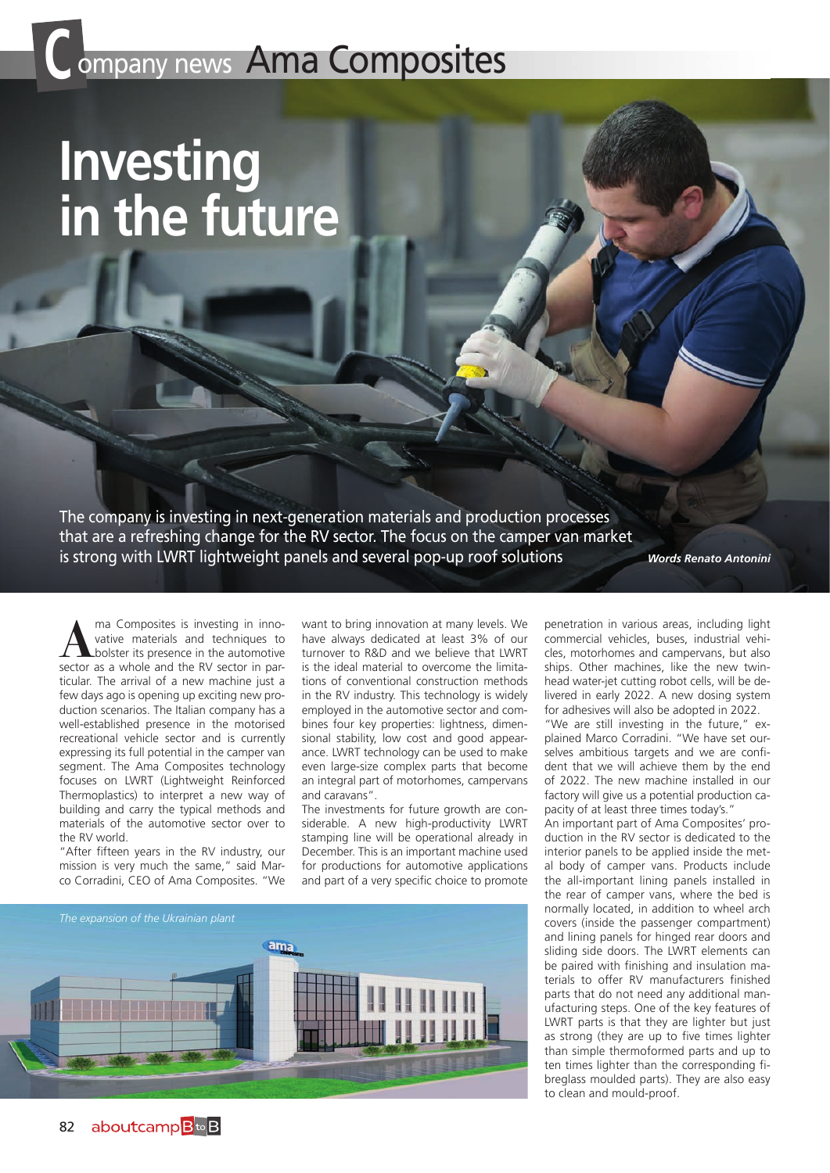## **Company news Ama Composites**

## **Investing in the future**

The company is investing in next-generation materials and production processes that are a refreshing change for the RV sector. The focus on the camper van market is strong with LWRT lightweight panels and several pop-up roof solutions

*Words Renato Antonini*

**A** ma Composites is investing in inno-<br>bolster its presence in the automotive<br>sector as a whole and the RV sector in parvative materials and techniques to sector as a whole and the RV sector in particular. The arrival of a new machine just a few days ago is opening up exciting new production scenarios. The Italian company has a well-established presence in the motorised recreational vehicle sector and is currently expressing its full potential in the camper van segment. The Ama Composites technology focuses on LWRT (Lightweight Reinforced Thermoplastics) to interpret a new way of building and carry the typical methods and materials of the automotive sector over to the RV world.

"After fifteen years in the RV industry, our mission is very much the same," said Marco Corradini, CEO of Ama Composites. "We

want to bring innovation at many levels. We have always dedicated at least 3% of our turnover to R&D and we believe that LWRT is the ideal material to overcome the limitations of conventional construction methods in the RV industry. This technology is widely employed in the automotive sector and combines four key properties: lightness, dimensional stability, low cost and good appearance. LWRT technology can be used to make even large-size complex parts that become an integral part of motorhomes, campervans and caravans".

The investments for future growth are considerable. A new high-productivity LWRT stamping line will be operational already in December. This is an important machine used for productions for automotive applications and part of a very specific choice to promote



penetration in various areas, including light commercial vehicles, buses, industrial vehicles, motorhomes and campervans, but also ships. Other machines, like the new twinhead water-jet cutting robot cells, will be delivered in early 2022. A new dosing system for adhesives will also be adopted in 2022.

"We are still investing in the future," explained Marco Corradini. "We have set ourselves ambitious targets and we are confident that we will achieve them by the end of 2022. The new machine installed in our factory will give us a potential production capacity of at least three times today's."

An important part of Ama Composites' production in the RV sector is dedicated to the interior panels to be applied inside the metal body of camper vans. Products include the all-important lining panels installed in the rear of camper vans, where the bed is normally located, in addition to wheel arch covers (inside the passenger compartment) and lining panels for hinged rear doors and sliding side doors. The LWRT elements can be paired with finishing and insulation materials to offer RV manufacturers finished parts that do not need any additional manufacturing steps. One of the key features of LWRT parts is that they are lighter but just as strong (they are up to five times lighter than simple thermoformed parts and up to ten times lighter than the corresponding fibreglass moulded parts). They are also easy to clean and mould-proof.